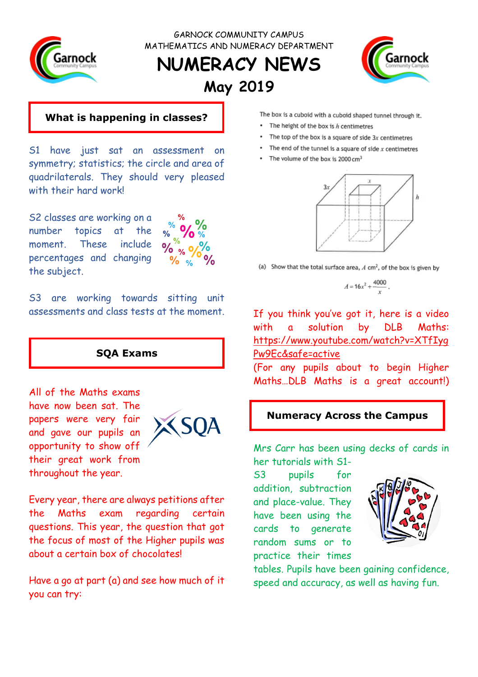

GARNOCK COMMUNITY CAMPUS MATHEMATICS AND NUMERACY DEPARTMENT

# **NUMERACY NEWS May 2019**



### **What is happening in classes?**

S1 have just sat an assessment on symmetry; statistics; the circle and area of quadrilaterals. They should very pleased with their hard work!

S2 classes are working on a number topics at the moment. These include percentages and changing the subject.



S3 are working towards sitting unit assessments and class tests at the moment.

### **SQA Exams**

All of the Maths exams have now been sat. The papers were very fair and gave our pupils an opportunity to show off their great work from throughout the year.



Every year, there are always petitions after the Maths exam regarding certain questions. This year, the question that got the focus of most of the Higher pupils was about a certain box of chocolates!

Have a go at part (a) and see how much of it you can try:

The box is a cuboid with a cuboid shaped tunnel through it.

- The height of the box is h centimetres
- The top of the box is a square of side  $3x$  centimetres
- The end of the tunnel is a square of side  $x$  centimetres
- The volume of the box is  $2000 \text{ cm}^3$



(a) Show that the total surface area,  $A \text{ cm}^2$ , of the box is given by

$$
A=16x^2+\frac{4000}{x}
$$

If you think you've got it, here is a video with a solution by DLB Maths: [https://www.youtube.com/watch?v=XTfIyg](https://www.youtube.com/watch?v=XTfIygPw9Ec&safe=active) [Pw9Ec&safe=active](https://www.youtube.com/watch?v=XTfIygPw9Ec&safe=active) 

(For any pupils about to begin Higher Maths…DLB Maths is a great account!)

### **Numeracy Across the Campus**

Mrs Carr has been using decks of cards in her tutorials with S1-

S3 pupils for addition, subtraction and place-value. They have been using the cards to generate random sums or to practice their times



tables. Pupils have been gaining confidence, speed and accuracy, as well as having fun.